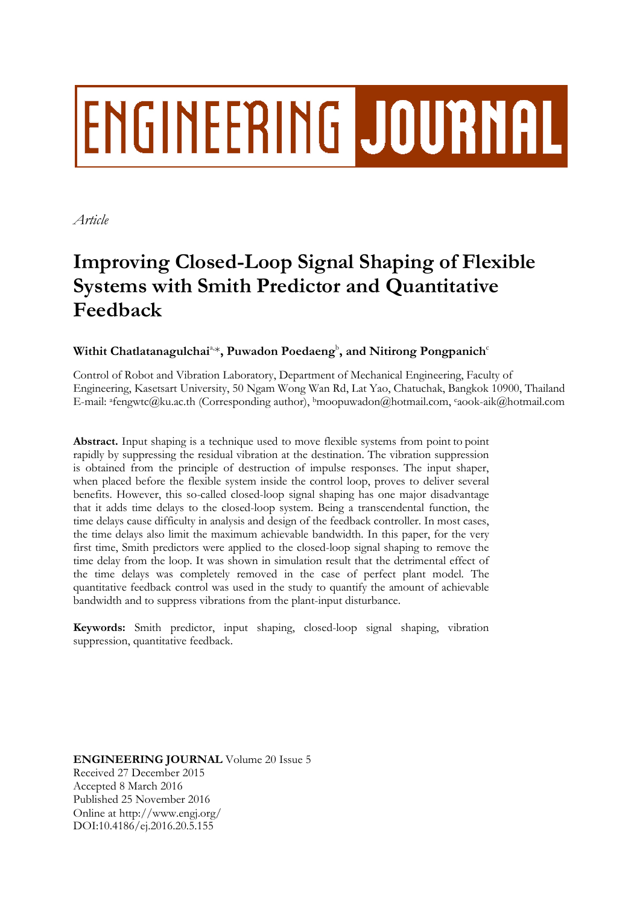# **ENGINEERING JOURNAL**

*Article*

## **Improving Closed-Loop Signal Shaping of Flexible Systems with Smith Predictor and Quantitative Feedback**

### Withit Chatlatanagulchai<sup>a,</sup>, Puwadon Poedaeng<sup>b</sup>, and Nitirong Pongpanich<sup>c</sup>

Control of Robot and Vibration Laboratory, Department of Mechanical Engineering, Faculty of Engineering, Kasetsart University, 50 Ngam Wong Wan Rd, Lat Yao, Chatuchak, Bangkok 10900, Thailand E-mail: afengwtc@ku.ac.th (Corresponding author), <sup>b</sup>moopuwadon@hotmail.com, caook-aik@hotmail.com

**Abstract.** Input shaping is a technique used to move flexible systems from point to point rapidly by suppressing the residual vibration at the destination. The vibration suppression is obtained from the principle of destruction of impulse responses. The input shaper, when placed before the flexible system inside the control loop, proves to deliver several benefits. However, this so-called closed-loop signal shaping has one major disadvantage that it adds time delays to the closed-loop system. Being a transcendental function, the time delays cause difficulty in analysis and design of the feedback controller. In most cases, the time delays also limit the maximum achievable bandwidth. In this paper, for the very first time, Smith predictors were applied to the closed-loop signal shaping to remove the time delay from the loop. It was shown in simulation result that the detrimental effect of the time delays was completely removed in the case of perfect plant model. The quantitative feedback control was used in the study to quantify the amount of achievable bandwidth and to suppress vibrations from the plant-input disturbance.

**Keywords:** Smith predictor, input shaping, closed-loop signal shaping, vibration suppression, quantitative feedback.

**ENGINEERING JOURNAL** Volume 20 Issue 5 Received 27 December 2015 Accepted 8 March 2016 Published 25 November 2016 Online at http://www.engj.org/ DOI:10.4186/ej.2016.20.5.155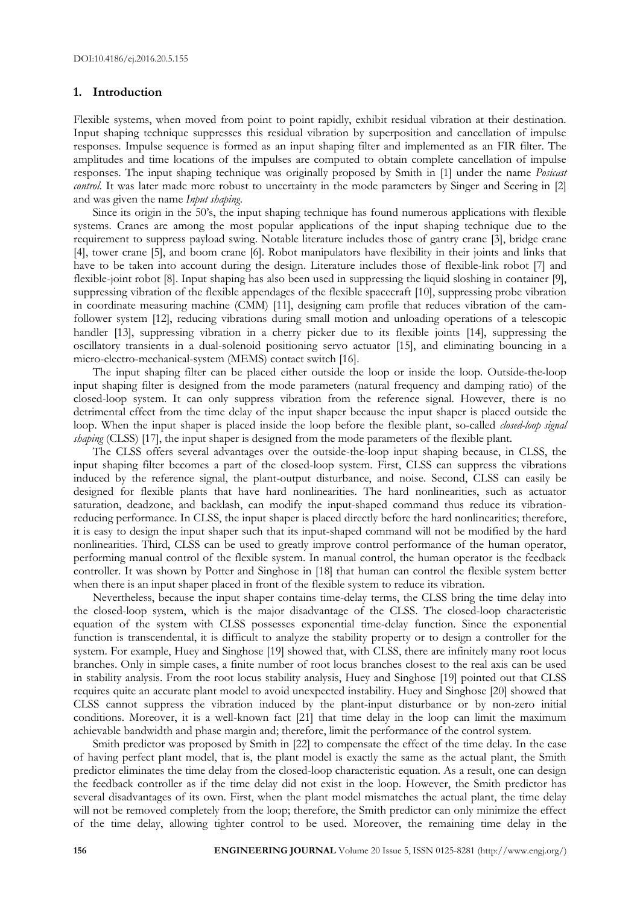#### **1. Introduction**

Flexible systems, when moved from point to point rapidly, exhibit residual vibration at their destination. Input shaping technique suppresses this residual vibration by superposition and cancellation of impulse responses. Impulse sequence is formed as an input shaping filter and implemented as an FIR filter. The amplitudes and time locations of the impulses are computed to obtain complete cancellation of impulse responses. The input shaping technique was originally proposed by Smith in [1] under the name *Posicast control*. It was later made more robust to uncertainty in the mode parameters by Singer and Seering in [2] and was given the name *Input shaping*.

Since its origin in the 50's, the input shaping technique has found numerous applications with flexible systems. Cranes are among the most popular applications of the input shaping technique due to the requirement to suppress payload swing. Notable literature includes those of gantry crane [3], bridge crane [4], tower crane [5], and boom crane [6]. Robot manipulators have flexibility in their joints and links that have to be taken into account during the design. Literature includes those of flexible-link robot [7] and flexible-joint robot [8]. Input shaping has also been used in suppressing the liquid sloshing in container [9], suppressing vibration of the flexible appendages of the flexible spacecraft [10], suppressing probe vibration in coordinate measuring machine (CMM) [11], designing cam profile that reduces vibration of the camfollower system [12], reducing vibrations during small motion and unloading operations of a telescopic handler [13], suppressing vibration in a cherry picker due to its flexible joints [14], suppressing the oscillatory transients in a dual-solenoid positioning servo actuator [15], and eliminating bouncing in a micro-electro-mechanical-system (MEMS) contact switch [16].

The input shaping filter can be placed either outside the loop or inside the loop. Outside-the-loop input shaping filter is designed from the mode parameters (natural frequency and damping ratio) of the closed-loop system. It can only suppress vibration from the reference signal. However, there is no detrimental effect from the time delay of the input shaper because the input shaper is placed outside the loop. When the input shaper is placed inside the loop before the flexible plant, so-called *closed-loop signal shaping* (CLSS) [17], the input shaper is designed from the mode parameters of the flexible plant.

The CLSS offers several advantages over the outside-the-loop input shaping because, in CLSS, the input shaping filter becomes a part of the closed-loop system. First, CLSS can suppress the vibrations induced by the reference signal, the plant-output disturbance, and noise. Second, CLSS can easily be designed for flexible plants that have hard nonlinearities. The hard nonlinearities, such as actuator saturation, deadzone, and backlash, can modify the input-shaped command thus reduce its vibrationreducing performance. In CLSS, the input shaper is placed directly before the hard nonlinearities; therefore, it is easy to design the input shaper such that its input-shaped command will not be modified by the hard nonlinearities. Third, CLSS can be used to greatly improve control performance of the human operator, performing manual control of the flexible system. In manual control, the human operator is the feedback controller. It was shown by Potter and Singhose in [18] that human can control the flexible system better when there is an input shaper placed in front of the flexible system to reduce its vibration.

Nevertheless, because the input shaper contains time-delay terms, the CLSS bring the time delay into the closed-loop system, which is the major disadvantage of the CLSS. The closed-loop characteristic equation of the system with CLSS possesses exponential time-delay function. Since the exponential function is transcendental, it is difficult to analyze the stability property or to design a controller for the system. For example, Huey and Singhose [19] showed that, with CLSS, there are infinitely many root locus branches. Only in simple cases, a finite number of root locus branches closest to the real axis can be used in stability analysis. From the root locus stability analysis, Huey and Singhose [19] pointed out that CLSS requires quite an accurate plant model to avoid unexpected instability. Huey and Singhose [20] showed that CLSS cannot suppress the vibration induced by the plant-input disturbance or by non-zero initial conditions. Moreover, it is a well-known fact [21] that time delay in the loop can limit the maximum achievable bandwidth and phase margin and; therefore, limit the performance of the control system.

Smith predictor was proposed by Smith in [22] to compensate the effect of the time delay. In the case of having perfect plant model, that is, the plant model is exactly the same as the actual plant, the Smith predictor eliminates the time delay from the closed-loop characteristic equation. As a result, one can design the feedback controller as if the time delay did not exist in the loop. However, the Smith predictor has several disadvantages of its own. First, when the plant model mismatches the actual plant, the time delay will not be removed completely from the loop; therefore, the Smith predictor can only minimize the effect of the time delay, allowing tighter control to be used. Moreover, the remaining time delay in the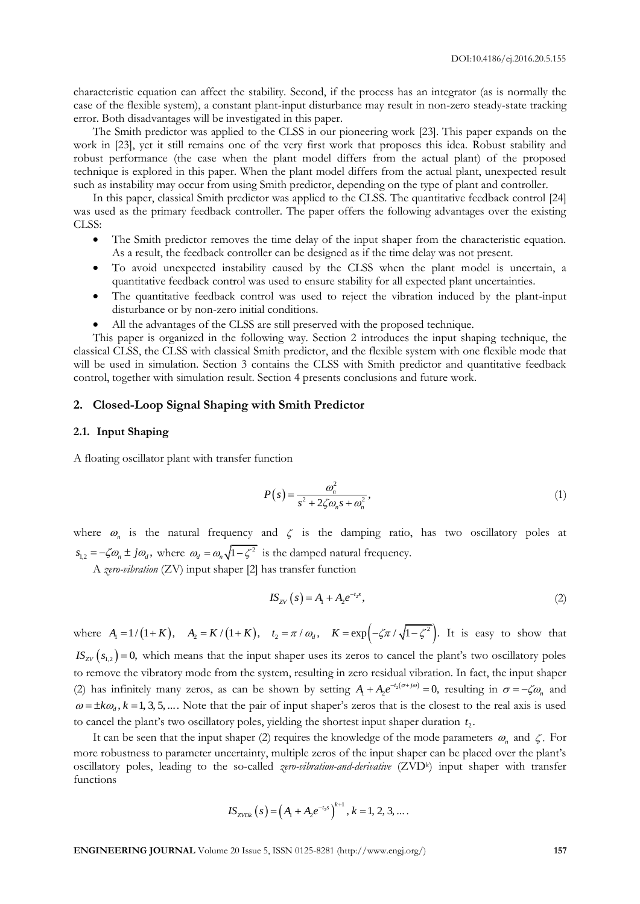characteristic equation can affect the stability. Second, if the process has an integrator (as is normally the case of the flexible system), a constant plant-input disturbance may result in non-zero steady-state tracking error. Both disadvantages will be investigated in this paper.

The Smith predictor was applied to the CLSS in our pioneering work [23]. This paper expands on the work in [23], yet it still remains one of the very first work that proposes this idea. Robust stability and robust performance (the case when the plant model differs from the actual plant) of the proposed technique is explored in this paper. When the plant model differs from the actual plant, unexpected result such as instability may occur from using Smith predictor, depending on the type of plant and controller.

In this paper, classical Smith predictor was applied to the CLSS. The quantitative feedback control [24] was used as the primary feedback controller. The paper offers the following advantages over the existing CLSS:

- The Smith predictor removes the time delay of the input shaper from the characteristic equation. As a result, the feedback controller can be designed as if the time delay was not present.
- To avoid unexpected instability caused by the CLSS when the plant model is uncertain, a quantitative feedback control was used to ensure stability for all expected plant uncertainties.
- The quantitative feedback control was used to reject the vibration induced by the plant-input disturbance or by non-zero initial conditions.
- All the advantages of the CLSS are still preserved with the proposed technique.

This paper is organized in the following way. Section 2 introduces the input shaping technique, the classical CLSS, the CLSS with classical Smith predictor, and the flexible system with one flexible mode that will be used in simulation. Section 3 contains the CLSS with Smith predictor and quantitative feedback control, together with simulation result. Section 4 presents conclusions and future work.

#### **2. Closed-Loop Signal Shaping with Smith Predictor**

#### **2.1. Input Shaping**

A floating oscillator plant with transfer function

$$
P(s) = \frac{\omega_n^2}{s^2 + 2\zeta\omega_n s + \omega_n^2},\tag{1}
$$

where  $\omega_n$  is the natural frequency and  $\zeta$  is the damping ratio, has two oscillatory poles at  $s_{1,2} = -\zeta \omega_n \pm j\omega_d$ , where  $\omega_d = \omega_n \sqrt{1 - \zeta^2}$  is the damped natural frequency.

A *zero-vibration* (ZV) input shaper [2] has transfer function

$$
IS_{ZV}(s) = A_1 + A_2 e^{-t_2 s}, \tag{2}
$$

where  $A_1 = 1/(1+K)$ ,  $A_2 = K/(1+K)$ ,  $t_2 = \pi/\omega_d$ ,  $K = \exp(-\zeta \pi/\sqrt{1-\zeta^2})$ . It is easy to show that  $IS_{ZV}(s_{1,2})=0$ , which means that the input shaper uses its zeros to cancel the plant's two oscillatory poles to remove the vibratory mode from the system, resulting in zero residual vibration. In fact, the input shaper (2) has infinitely many zeros, as can be shown by setting  $A_1 + A_2 e^{-t_2(\sigma + j\omega)} = 0$ , resulting in  $\sigma = -\zeta \omega_n$  and  $\omega = \pm k\omega_d$ ,  $k = 1, 3, 5, ...$  Note that the pair of input shaper's zeros that is the closest to the real axis is used to cancel the plant's two oscillatory poles, yielding the shortest input shaper duration  $t_2$ .

It can be seen that the input shaper (2) requires the knowledge of the mode parameters  $\omega_n$  and  $\zeta$ . For more robustness to parameter uncertainty, multiple zeros of the input shaper can be placed over the plant's oscillatory poles, leading to the so-called *zero-vibration-and-derivative* (ZVD<sup>k</sup> ) input shaper with transfer functions

$$
IS_{ZVDK}(s) = (A_1 + A_2 e^{-t_2 s})^{k+1}, k = 1, 2, 3, ...
$$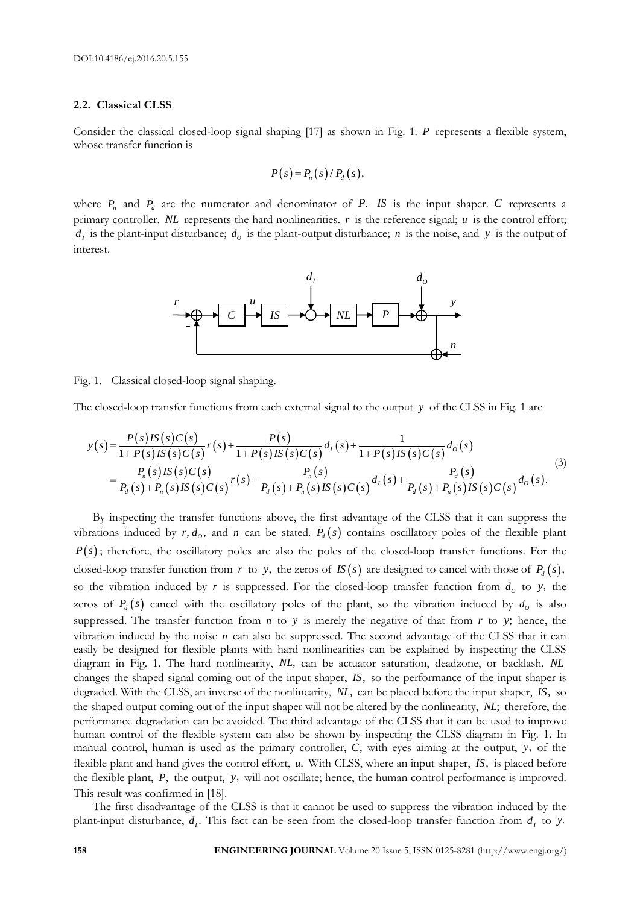#### **2.2. Classical CLSS**

Consider the classical closed-loop signal shaping [17] as shown in Fig. 1. *P* represents a flexible system, whose transfer function is

$$
P(s) = P_n(s) / P_d(s),
$$

where  $P_n$  and  $P_d$  are the numerator and denominator of  $P$ . *IS* is the input shaper.  $C$  represents a primary controller. *NL* represents the hard nonlinearities. *r* is the reference signal; *u* is the control effort;  $d_i$  is the plant-input disturbance;  $d_o$  is the plant-output disturbance; *n* is the noise, and *y* is the output of interest.



Fig. 1. Classical closed-loop signal shaping.

The closed-loop transfer functions from each external signal to the output y of the CLSS in Fig. 1 are  
\n
$$
y(s) = \frac{P(s)IS(s)C(s)}{1+P(s)IS(s)C(s)}r(s) + \frac{P(s)}{1+P(s)IS(s)C(s)}d_t(s) + \frac{1}{1+P(s)IS(s)C(s)}d_0(s)
$$
\n
$$
= \frac{P_n(s)IS(s)C(s)}{P_d(s) + P_n(s)IS(s)C(s)}r(s) + \frac{P_n(s)}{P_d(s) + P_n(s)IS(s)C(s)}d_t(s) + \frac{P_d(s)}{P_d(s) + P_n(s)IS(s)C(s)}d_0(s).
$$
\n(3)

By inspecting the transfer functions above, the first advantage of the CLSS that it can suppress the vibrations induced by  $r, d_o$ , and  $n$  can be stated.  $P_d(s)$  contains oscillatory poles of the flexible plant  $P(s)$ ; therefore, the oscillatory poles are also the poles of the closed-loop transfer functions. For the closed-loop transfer function from r to y, the zeros of  $IS(s)$  are designed to cancel with those of  $P_d(s)$ , so the vibration induced by  $r$  is suppressed. For the closed-loop transfer function from  $d_o$  to  $y$ , the zeros of  $P_d(s)$  cancel with the oscillatory poles of the plant, so the vibration induced by  $d_o$  is also suppressed. The transfer function from  $n$  to  $y$  is merely the negative of that from  $r$  to  $y$ ; hence, the vibration induced by the noise  $n$  can also be suppressed. The second advantage of the CLSS that it can easily be designed for flexible plants with hard nonlinearities can be explained by inspecting the CLSS diagram in Fig. 1. The hard nonlinearity, *NL*, can be actuator saturation, deadzone, or backlash. *NL* changes the shaped signal coming out of the input shaper, *IS*, so the performance of the input shaper is degraded. With the CLSS, an inverse of the nonlinearity, *NL*, can be placed before the input shaper, *IS*, so the shaped output coming out of the input shaper will not be altered by the nonlinearity, *NL*; therefore, the performance degradation can be avoided. The third advantage of the CLSS that it can be used to improve human control of the flexible system can also be shown by inspecting the CLSS diagram in Fig. 1. In manual control, human is used as the primary controller, *C*, with eyes aiming at the output, *y*, of the flexible plant and hand gives the control effort, *u*. With CLSS, where an input shaper, *IS*, is placed before the flexible plant, *P*, the output, *y*, will not oscillate; hence, the human control performance is improved. This result was confirmed in [18].

The first disadvantage of the CLSS is that it cannot be used to suppress the vibration induced by the plant-input disturbance,  $d_i$ . This fact can be seen from the closed-loop transfer function from  $d_i$  to y.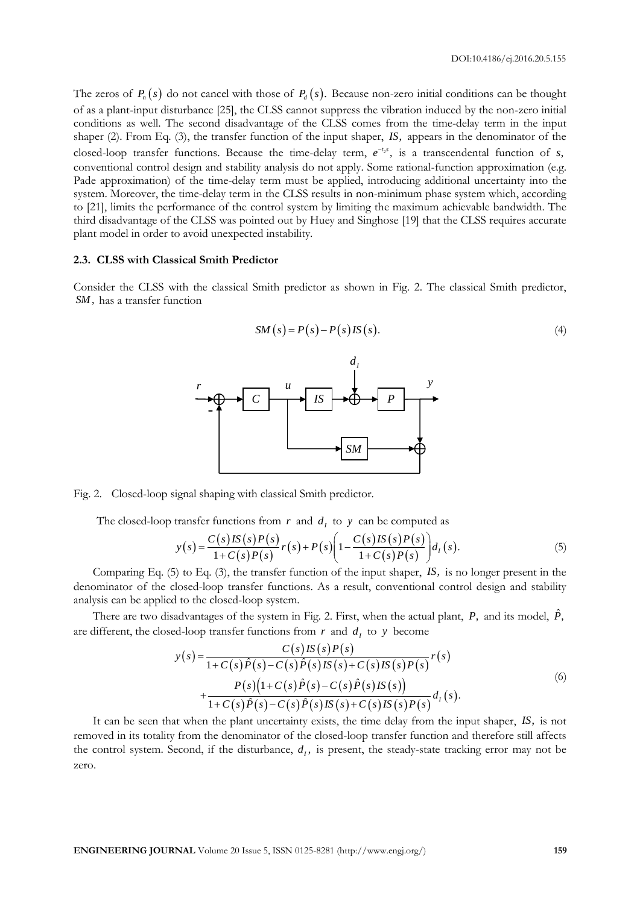The zeros of  $P_n(s)$  do not cancel with those of  $P_d(s)$ . Because non-zero initial conditions can be thought of as a plant-input disturbance [25], the CLSS cannot suppress the vibration induced by the non-zero initial conditions as well. The second disadvantage of the CLSS comes from the time-delay term in the input shaper (2). From Eq. (3), the transfer function of the input shaper, *IS*, appears in the denominator of the closed-loop transfer functions. Because the time-delay term,  $e^{-t_2 s}$ , is a transcendental function of  $s$ , conventional control design and stability analysis do not apply. Some rational-function approximation (e.g. Pade approximation) of the time-delay term must be applied, introducing additional uncertainty into the system. Moreover, the time-delay term in the CLSS results in non-minimum phase system which, according to [21], limits the performance of the control system by limiting the maximum achievable bandwidth. The third disadvantage of the CLSS was pointed out by Huey and Singhose [19] that the CLSS requires accurate plant model in order to avoid unexpected instability.

#### **2.3. CLSS with Classical Smith Predictor**

Consider the CLSS with the classical Smith predictor as shown in Fig. 2. The classical Smith predictor, *SM*, has a transfer function



Fig. 2. Closed-loop signal shaping with classical Smith predictor.

The closed-loop transfer functions from *r* and *d<sub>t</sub>* to *y* can be computed as\n
$$
y(s) = \frac{C(s)IS(s)P(s)}{1+C(s)P(s)}r(s) + P(s)\left(1-\frac{C(s)IS(s)P(s)}{1+C(s)P(s)}\right)d_t(s).
$$
\n(5)

Comparing Eq. (5) to Eq. (3), the transfer function of the input shaper, *IS*, is no longer present in the denominator of the closed-loop transfer functions. As a result, conventional control design and stability analysis can be applied to the closed-loop system.

There are two disadvantages of the system in Fig. 2. First, when the actual plant, P, and its model,  $\hat{P}$ ,

$$
y(s) = \frac{C(s)IS(s)P(s)}{1 + C(s)\hat{P}(s) - C(s)\hat{P}(s)IS(s)P(s)}r(s)
$$
\n
$$
+ \frac{P(s)(1 + C(s)\hat{P}(s) - C(s)\hat{P}(s)IS(s) + C(s)IS(s)P(s)}{1 + C(s)\hat{P}(s) - C(s)\hat{P}(s)IS(s) + C(s)IS(s)P(s)}d_{I}(s).
$$
\n(6)

It can be seen that when the plant uncertainty exists, the time delay from the input shaper, *IS*, is not removed in its totality from the denominator of the closed-loop transfer function and therefore still affects the control system. Second, if the disturbance,  $d_i$ , is present, the steady-state tracking error may not be zero.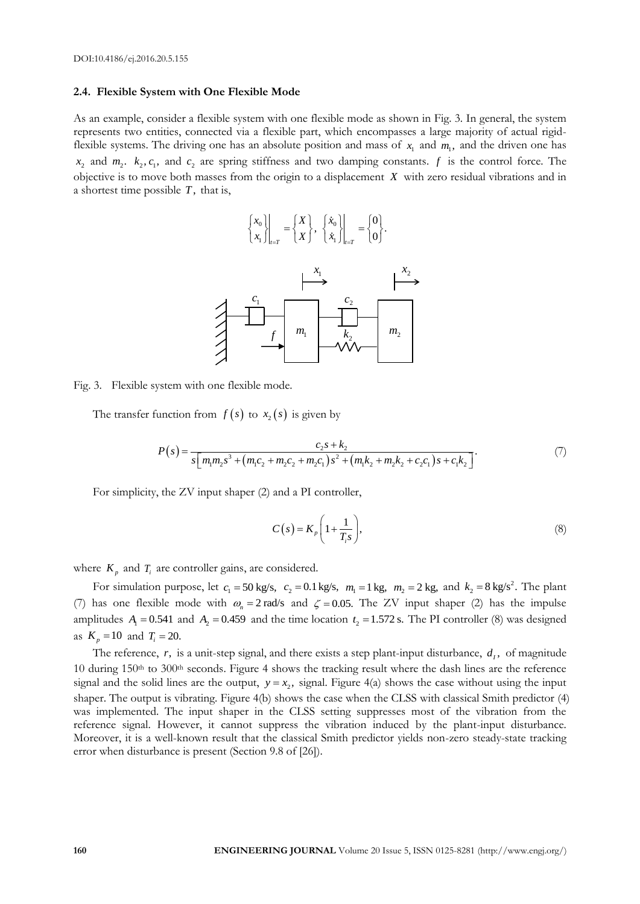#### **2.4. Flexible System with One Flexible Mode**

As an example, consider a flexible system with one flexible mode as shown in Fig. 3. In general, the system represents two entities, connected via a flexible part, which encompasses a large majority of actual rigidflexible systems. The driving one has an absolute position and mass of  $x_1$  and  $m_1$ , and the driven one has  $x_2$  and  $m_2$ .  $k_2$ ,  $c_1$ , and  $c_2$  are spring stiffness and two damping constants.  $f$  is the control force. The objective is to move both masses from the origin to a displacement *X* with zero residual vibrations and in a shortest time possible *T*, that is,



Fig. 3. Flexible system with one flexible mode.

The transfer function from 
$$
f(s)
$$
 to  $x_2(s)$  is given by  
\n
$$
P(s) = \frac{c_2 s + k_2}{s \left[ m_1 m_2 s^3 + (m_1 c_2 + m_2 c_2 + m_2 c_1) s^2 + (m_1 k_2 + m_2 k_2 + c_2 c_1) s + c_1 k_2 \right]}.
$$
\n(7)

For simplicity, the ZV input shaper (2) and a PI controller,

$$
C(s) = K_p \left( 1 + \frac{1}{T_i s} \right),\tag{8}
$$

where  $K_p$  and  $T_i$  are controller gains, are considered.

For simulation purpose, let  $c_1 = 50$  kg/s,  $c_2 = 0.1$  kg/s,  $m_1 = 1$  kg,  $m_2 = 2$  kg, and  $k_2 = 8$  kg/s<sup>2</sup>. The plant (7) has one flexible mode with  $\omega_n = 2$  rad/s and  $\zeta = 0.05$ . The ZV input shaper (2) has the impulse amplitudes  $A_1 = 0.541$  and  $A_2 = 0.459$  and the time location  $t_2 = 1.572$  s. The PI controller (8) was designed as  $K_p = 10$  and  $T_i = 20$ .

The reference,  $r$ , is a unit-step signal, and there exists a step plant-input disturbance,  $d<sub>I</sub>$ , of magnitude 10 during 150th to 300th seconds. Figure 4 shows the tracking result where the dash lines are the reference signal and the solid lines are the output,  $y = x_2$ , signal. Figure 4(a) shows the case without using the input shaper. The output is vibrating. Figure 4(b) shows the case when the CLSS with classical Smith predictor (4) was implemented. The input shaper in the CLSS setting suppresses most of the vibration from the reference signal. However, it cannot suppress the vibration induced by the plant-input disturbance. Moreover, it is a well-known result that the classical Smith predictor yields non-zero steady-state tracking error when disturbance is present (Section 9.8 of [26]).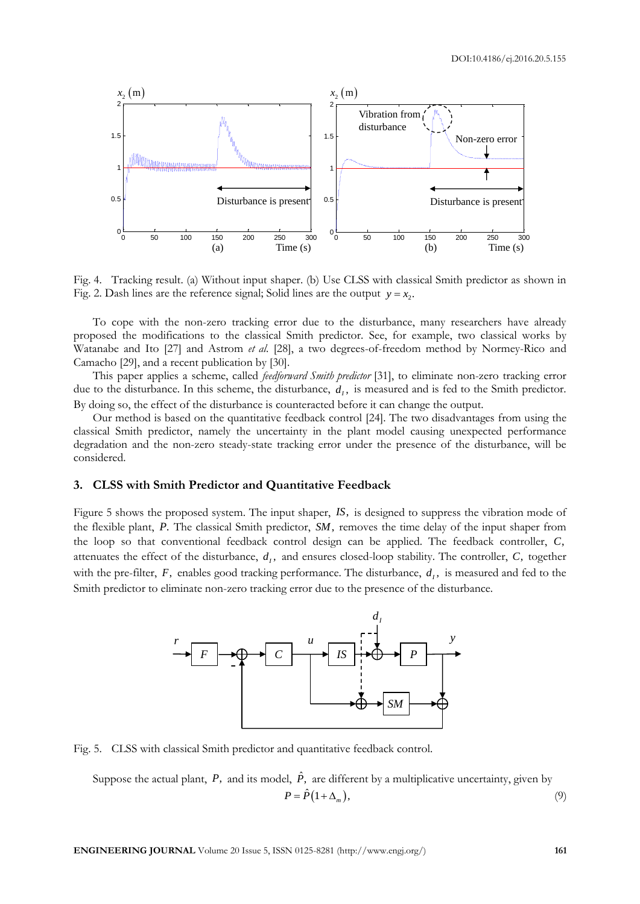

Fig. 4. Tracking result. (a) Without input shaper. (b) Use CLSS with classical Smith predictor as shown in Fig. 2. Dash lines are the reference signal; Solid lines are the output  $y = x_2$ .

To cope with the non-zero tracking error due to the disturbance, many researchers have already proposed the modifications to the classical Smith predictor. See, for example, two classical works by Watanabe and Ito [27] and Astrom *et al*. [28], a two degrees-of-freedom method by Normey-Rico and Camacho [29], and a recent publication by [30].

This paper applies a scheme, called *feedforward Smith predictor* [31], to eliminate non-zero tracking error due to the disturbance. In this scheme, the disturbance,  $d_i$ , is measured and is fed to the Smith predictor. By doing so, the effect of the disturbance is counteracted before it can change the output.

Our method is based on the quantitative feedback control [24]. The two disadvantages from using the classical Smith predictor, namely the uncertainty in the plant model causing unexpected performance degradation and the non-zero steady-state tracking error under the presence of the disturbance, will be considered.

#### **3. CLSS with Smith Predictor and Quantitative Feedback**

Figure 5 shows the proposed system. The input shaper, *IS*, is designed to suppress the vibration mode of the flexible plant, *P*. The classical Smith predictor, *SM*, removes the time delay of the input shaper from the loop so that conventional feedback control design can be applied. The feedback controller, *C*, attenuates the effect of the disturbance,  $d_i$ , and ensures closed-loop stability. The controller,  $C$ , together with the pre-filter,  $F$ , enables good tracking performance. The disturbance,  $d<sub>I</sub>$ , is measured and fed to the Smith predictor to eliminate non-zero tracking error due to the presence of the disturbance.



Fig. 5. CLSS with classical Smith predictor and quantitative feedback control.

Suppose the actual plant, P, and its model,  $\hat{P}$ , are different by a multiplicative uncertainty, given by  $P = \hat{P}(1 + \Delta_m),$ (9)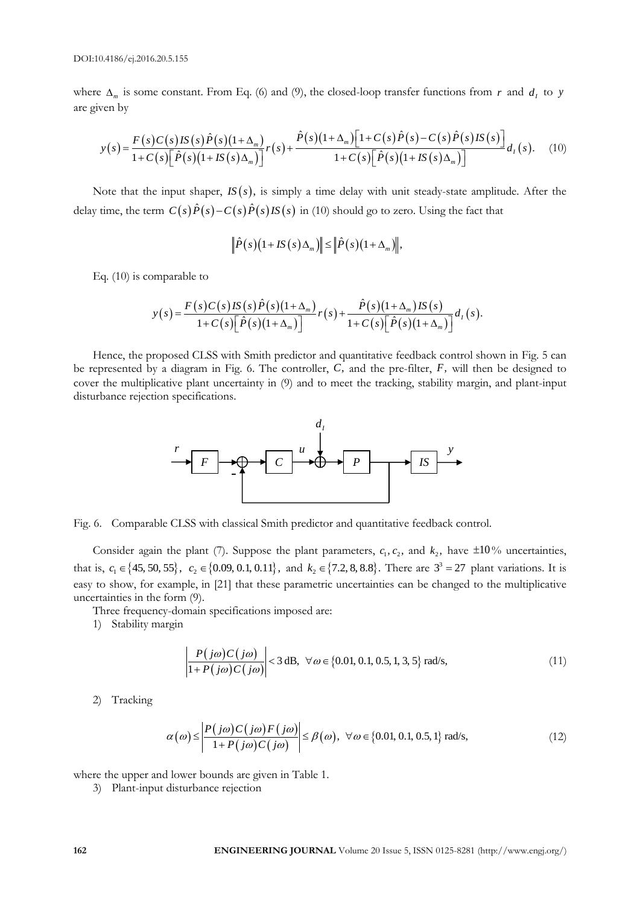are given by

where 
$$
\Delta_m
$$
 is some constant. From Eq. (6) and (9), the closed-loop transfer functions from  $r$  and  $d_t$  to  $y$   
are given by\n
$$
y(s) = \frac{F(s)C(s)IS(s)\hat{P}(s)(1+\Delta_m)}{1+C(s)[\hat{P}(s)(1+IS(s)\Delta_m)]}r(s) + \frac{\hat{P}(s)(1+\Delta_m)[1+C(s)\hat{P}(s)-C(s)\hat{P}(s)IS(s)]}{1+C(s)[\hat{P}(s)(1+IS(s)\Delta_m)]}d_t(s).
$$
 (10)

Note that the input shaper,  $IS(s)$ , is simply a time delay with unit steady-state amplitude. After the delay time, the term  $C(s)\hat{P}(s)-C(s)\hat{P}(s)$  *IS*  $(s)$  in (10) should go to zero. Using the fact that

$$
\left\|\hat{P}(s)(1+IS(s)\Delta_m)\right\|\leq \left\|\hat{P}(s)(1+\Delta_m)\right\|,
$$

Eq. (10) is comparable to

mparable to  
\n
$$
y(s) = \frac{F(s)C(s)IS(s)\hat{P}(s)(1+\Delta_m)}{1+C(s)[\hat{P}(s)(1+\Delta_m)]}r(s) + \frac{\hat{P}(s)(1+\Delta_m)IS(s)}{1+C(s)[\hat{P}(s)(1+\Delta_m)]}d_t(s).
$$

Hence, the proposed CLSS with Smith predictor and quantitative feedback control shown in Fig. 5 can be represented by a diagram in Fig. 6. The controller, *C*, and the pre-filter, *F*, will then be designed to cover the multiplicative plant uncertainty in (9) and to meet the tracking, stability margin, and plant-input disturbance rejection specifications.



Fig. 6. Comparable CLSS with classical Smith predictor and quantitative feedback control.

Consider again the plant (7). Suppose the plant parameters,  $c_1$ ,  $c_2$ , and  $k_2$ , have  $\pm 10\%$  uncertainties, that is,  $c_1 \in \{45, 50, 55\}$ ,  $c_2 \in \{0.09, 0.1, 0.11\}$ , and  $k_2 \in \{7.2, 8, 8.8\}$ . There are  $3^3 = 27$  plant variations. It is easy to show, for example, in [21] that these parametric uncertainties can be changed to the multiplicative uncertainties in the form (9).

Three frequency-domain specifications imposed are:

1) Stability margin

$$
\left| \frac{P(j\omega)C(j\omega)}{1+P(j\omega)C(j\omega)} \right| < 3 \text{ dB}, \ \forall \omega \in \{0.01, 0.1, 0.5, 1, 3, 5\} \text{ rad/s},\tag{11}
$$

2) Tracking

$$
\alpha(\omega) \le \left| \frac{P(j\omega)C(j\omega)F(j\omega)}{1 + P(j\omega)C(j\omega)} \right| \le \beta(\omega), \ \forall \omega \in \{0.01, 0.1, 0.5, 1\} \text{ rad/s},\tag{12}
$$

where the upper and lower bounds are given in Table 1.

3) Plant-input disturbance rejection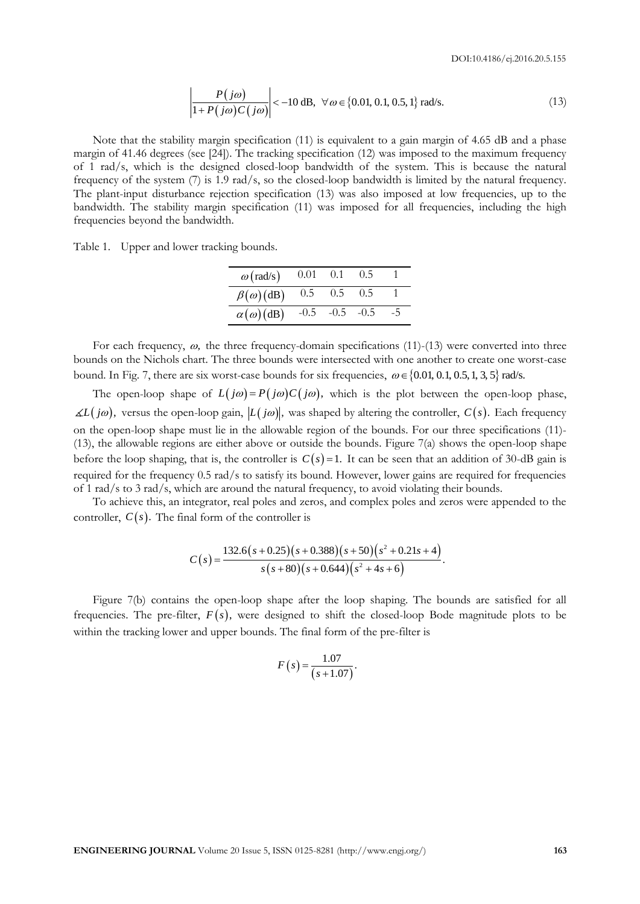$$
\left| \frac{P(j\omega)}{1 + P(j\omega)C(j\omega)} \right| < -10 \text{ dB}, \ \forall \omega \in \{0.01, 0.1, 0.5, 1\} \text{ rad/s.}
$$
\n(13)

Note that the stability margin specification (11) is equivalent to a gain margin of 4.65 dB and a phase margin of 41.46 degrees (see [24]). The tracking specification (12) was imposed to the maximum frequency of 1 rad/s, which is the designed closed-loop bandwidth of the system. This is because the natural frequency of the system (7) is 1.9 rad/s, so the closed-loop bandwidth is limited by the natural frequency. The plant-input disturbance rejection specification (13) was also imposed at low frequencies, up to the bandwidth. The stability margin specification (11) was imposed for all frequencies, including the high frequencies beyond the bandwidth.

Table 1. Upper and lower tracking bounds.

| $\omega$ (rad/s)      | $0.01 \quad 0.1$ |             | (0.5) |    |
|-----------------------|------------------|-------------|-------|----|
| $\beta(\omega)$ (dB)  | 0.5              | 0.5         | 0.5   |    |
| $\alpha(\omega)$ (dB) | $-0.5$           | $-0.5 -0.5$ |       | -5 |

For each frequency,  $\omega$ , the three frequency-domain specifications (11)-(13) were converted into three bounds on the Nichols chart. The three bounds were intersected with one another to create one worst-case bound. In Fig. 7, there are six worst-case bounds for six frequencies,  $\omega \in \{0.01, 0.1, 0.5, 1, 3, 5\}$  rad/s.

**ENG** in the simular strengthenial of 1168, You  $\neq$  1068, You  $\neq$  1068, Work 20 ABS and a phase<br>
uncheon Called Abdiling simple specification (11) is considered to a gain single of 4.65 dB and a phase<br>
uncheon Called The open-loop shape of  $L(j\omega) = P(j\omega)C(j\omega)$ , which is the plot between the open-loop phase,  $L(j\omega)$ , versus the open-loop gain,  $|L(j\omega)|$ , was shaped by altering the controller,  $C(s)$ . Each frequency on the open-loop shape must lie in the allowable region of the bounds. For our three specifications (11)- (13), the allowable regions are either above or outside the bounds. Figure 7(a) shows the open-loop shape before the loop shaping, that is, the controller is  $C(s) = 1$ . It can be seen that an addition of 30-dB gain is required for the frequency 0.5 rad/s to satisfy its bound. However, lower gains are required for frequencies of 1 rad/s to 3 rad/s, which are around the natural frequency, to avoid violating their bounds.

To achieve this, an integrator, real poles and zeros, and complex poles and zeros were appended to the controller,  $C(s)$ . The final form of the controller is

$$
C(s) = \frac{132.6(s+0.25)(s+0.388)(s+50)(s^2+0.21s+4)}{s(s+80)(s+0.644)(s^2+4s+6)}.
$$

Figure 7(b) contains the open-loop shape after the loop shaping. The bounds are satisfied for all frequencies. The pre-filter,  $F(s)$ , were designed to shift the closed-loop Bode magnitude plots to be within the tracking lower and upper bounds. The final form of the pre-filter is

$$
F(s) = \frac{1.07}{(s + 1.07)}.
$$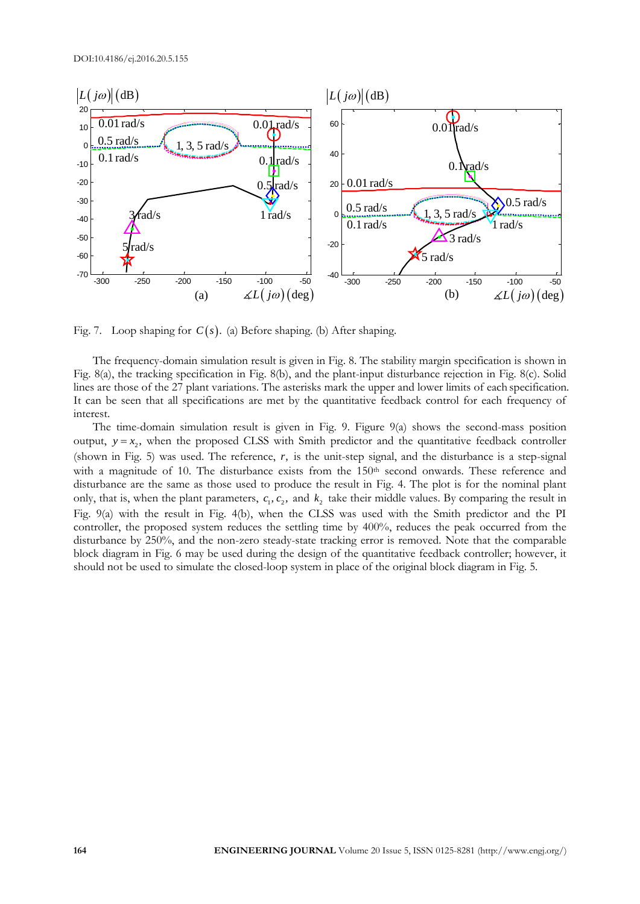

Fig. 7. Loop shaping for  $C(s)$ . (a) Before shaping. (b) After shaping.

The frequency-domain simulation result is given in Fig. 8. The stability margin specification is shown in Fig. 8(a), the tracking specification in Fig. 8(b), and the plant-input disturbance rejection in Fig. 8(c). Solid lines are those of the 27 plant variations. The asterisks mark the upper and lower limits of each specification. It can be seen that all specifications are met by the quantitative feedback control for each frequency of interest.

The time-domain simulation result is given in Fig. 9. Figure 9(a) shows the second-mass position output,  $y = x_2$ , when the proposed CLSS with Smith predictor and the quantitative feedback controller (shown in Fig. 5) was used. The reference, *r*, is the unit-step signal, and the disturbance is a step-signal with a magnitude of 10. The disturbance exists from the 150<sup>th</sup> second onwards. These reference and disturbance are the same as those used to produce the result in Fig. 4. The plot is for the nominal plant only, that is, when the plant parameters,  $c_1, c_2$ , and  $k_2$  take their middle values. By comparing the result in Fig. 9(a) with the result in Fig. 4(b), when the CLSS was used with the Smith predictor and the PI controller, the proposed system reduces the settling time by 400%, reduces the peak occurred from the disturbance by 250%, and the non-zero steady-state tracking error is removed. Note that the comparable block diagram in Fig. 6 may be used during the design of the quantitative feedback controller; however, it should not be used to simulate the closed-loop system in place of the original block diagram in Fig. 5.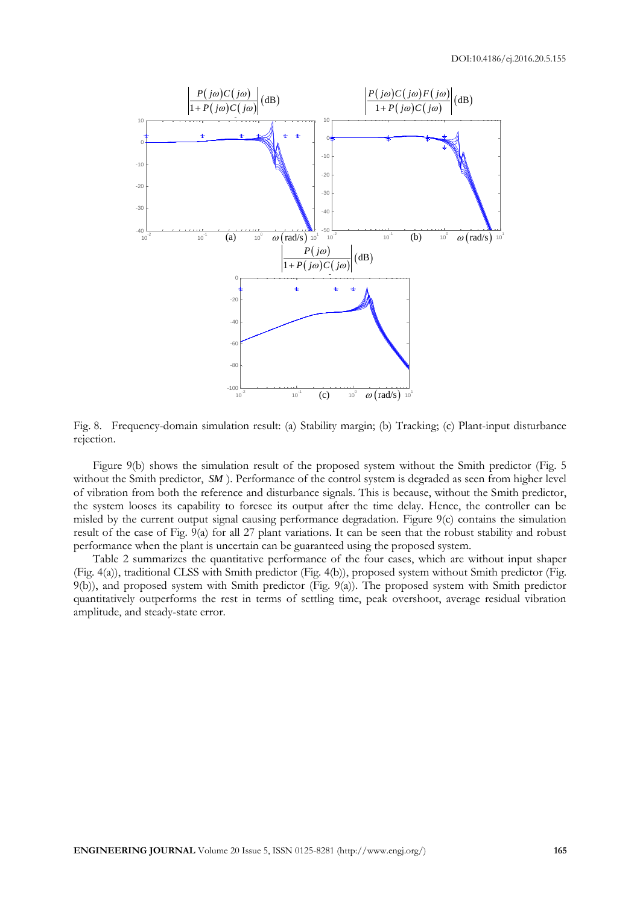

Fig. 8. Frequency-domain simulation result: (a) Stability margin; (b) Tracking; (c) Plant-input disturbance rejection.

Figure 9(b) shows the simulation result of the proposed system without the Smith predictor (Fig. 5 without the Smith predictor, SM). Performance of the control system is degraded as seen from higher level of vibration from both the reference and disturbance signals. This is because, without the Smith predictor, the system looses its capability to foresee its output after the time delay. Hence, the controller can be misled by the current output signal causing performance degradation. Figure 9(c) contains the simulation result of the case of Fig. 9(a) for all 27 plant variations. It can be seen that the robust stability and robust performance when the plant is uncertain can be guaranteed using the proposed system.

Table 2 summarizes the quantitative performance of the four cases, which are without input shaper (Fig. 4(a)), traditional CLSS with Smith predictor (Fig. 4(b)), proposed system without Smith predictor (Fig. 9(b)), and proposed system with Smith predictor (Fig. 9(a)). The proposed system with Smith predictor quantitatively outperforms the rest in terms of settling time, peak overshoot, average residual vibration amplitude, and steady-state error.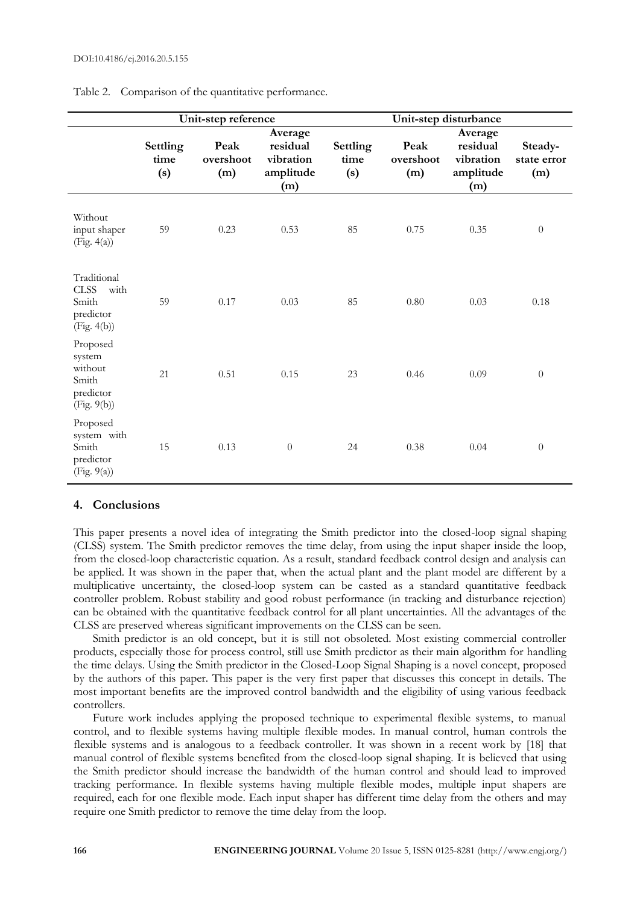|                                                                         | Unit-step reference     |                          |                                                      |                         | Unit-step disturbance    |                                                      |                               |
|-------------------------------------------------------------------------|-------------------------|--------------------------|------------------------------------------------------|-------------------------|--------------------------|------------------------------------------------------|-------------------------------|
|                                                                         | Settling<br>time<br>(s) | Peak<br>overshoot<br>(m) | Average<br>residual<br>vibration<br>amplitude<br>(m) | Settling<br>time<br>(s) | Peak<br>overshoot<br>(m) | Average<br>residual<br>vibration<br>amplitude<br>(m) | Steady-<br>state error<br>(m) |
| Without<br>input shaper<br>(Fig. 4(a))                                  | 59                      | 0.23                     | 0.53                                                 | 85                      | 0.75                     | 0.35                                                 | $\boldsymbol{0}$              |
| Traditional<br><b>CLSS</b><br>with<br>Smith<br>predictor<br>(Fig. 4(b)) | 59                      | 0.17                     | 0.03                                                 | 85                      | 0.80                     | 0.03                                                 | 0.18                          |
| Proposed<br>system<br>without<br>Smith<br>predictor<br>(Fig. 9(b))      | 21                      | 0.51                     | 0.15                                                 | 23                      | 0.46                     | 0.09                                                 | $\boldsymbol{0}$              |
| Proposed<br>system with<br>Smith<br>predictor<br>(Fig. 9(a))            | 15                      | 0.13                     | $\overline{0}$                                       | 24                      | 0.38                     | 0.04                                                 | $\boldsymbol{0}$              |

Table 2. Comparison of the quantitative performance.

#### **4. Conclusions**

This paper presents a novel idea of integrating the Smith predictor into the closed-loop signal shaping (CLSS) system. The Smith predictor removes the time delay, from using the input shaper inside the loop, from the closed-loop characteristic equation. As a result, standard feedback control design and analysis can be applied. It was shown in the paper that, when the actual plant and the plant model are different by a multiplicative uncertainty, the closed-loop system can be casted as a standard quantitative feedback controller problem. Robust stability and good robust performance (in tracking and disturbance rejection) can be obtained with the quantitative feedback control for all plant uncertainties. All the advantages of the CLSS are preserved whereas significant improvements on the CLSS can be seen.

Smith predictor is an old concept, but it is still not obsoleted. Most existing commercial controller products, especially those for process control, still use Smith predictor as their main algorithm for handling the time delays. Using the Smith predictor in the Closed-Loop Signal Shaping is a novel concept, proposed by the authors of this paper. This paper is the very first paper that discusses this concept in details. The most important benefits are the improved control bandwidth and the eligibility of using various feedback controllers.

Future work includes applying the proposed technique to experimental flexible systems, to manual control, and to flexible systems having multiple flexible modes. In manual control, human controls the flexible systems and is analogous to a feedback controller. It was shown in a recent work by [18] that manual control of flexible systems benefited from the closed-loop signal shaping. It is believed that using the Smith predictor should increase the bandwidth of the human control and should lead to improved tracking performance. In flexible systems having multiple flexible modes, multiple input shapers are required, each for one flexible mode. Each input shaper has different time delay from the others and may require one Smith predictor to remove the time delay from the loop.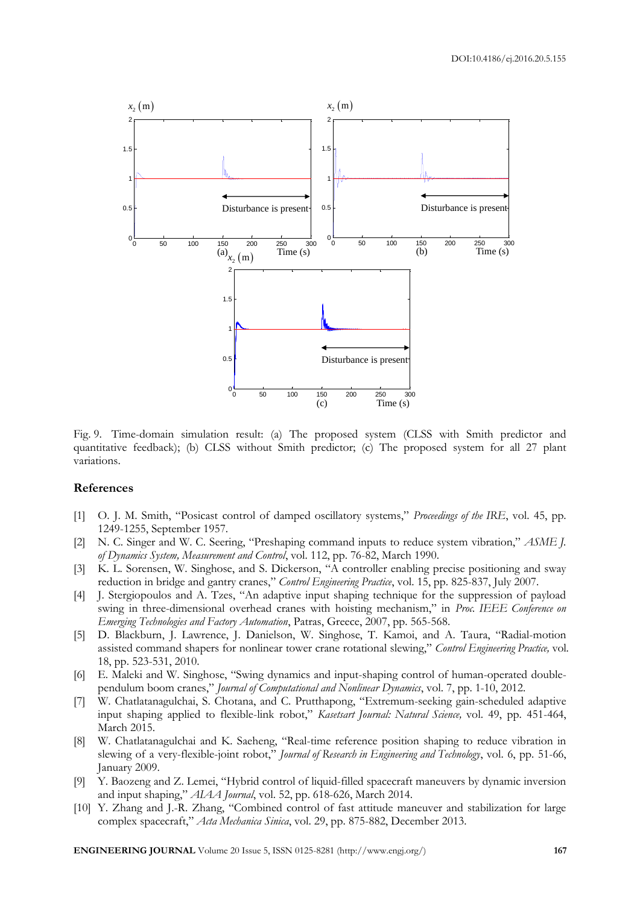

Fig. 9. Time-domain simulation result: (a) The proposed system (CLSS with Smith predictor and quantitative feedback); (b) CLSS without Smith predictor; (c) The proposed system for all 27 plant variations.

#### **References**

- [1] O. J. M. Smith, "Posicast control of damped oscillatory systems," *Proceedings of the IRE*, vol. 45, pp. 1249-1255, September 1957.
- [2] N. C. Singer and W. C. Seering, "Preshaping command inputs to reduce system vibration," *ASME J. of Dynamics System, Measurement and Control*, vol. 112, pp. 76-82, March 1990.
- [3] K. L. Sorensen, W. Singhose, and S. Dickerson, "A controller enabling precise positioning and sway reduction in bridge and gantry cranes," *Control Engineering Practice*, vol. 15, pp. 825-837, July 2007.
- [4] J. Stergiopoulos and A. Tzes, "An adaptive input shaping technique for the suppression of payload swing in three-dimensional overhead cranes with hoisting mechanism," in *Proc. IEEE Conference on Emerging Technologies and Factory Automation*, Patras, Greece, 2007, pp. 565-568.
- [5] D. Blackburn, J. Lawrence, J. Danielson, W. Singhose, T. Kamoi, and A. Taura, "Radial-motion assisted command shapers for nonlinear tower crane rotational slewing," *Control Engineering Practice,* vol. 18, pp. 523-531, 2010.
- [6] E. Maleki and W. Singhose, "Swing dynamics and input-shaping control of human-operated doublependulum boom cranes," *Journal of Computational and Nonlinear Dynamics*, vol. 7, pp. 1-10, 2012.
- [7] W. Chatlatanagulchai, S. Chotana, and C. Prutthapong, "Extremum-seeking gain-scheduled adaptive input shaping applied to flexible-link robot," *Kasetsart Journal: Natural Science,* vol. 49, pp. 451-464, March 2015.
- [8] W. Chatlatanagulchai and K. Saeheng, "Real-time reference position shaping to reduce vibration in slewing of a very-flexible-joint robot," *Journal of Research in Engineering and Technology*, vol. 6, pp. 51-66, January 2009.
- [9] Y. Baozeng and Z. Lemei, "Hybrid control of liquid-filled spacecraft maneuvers by dynamic inversion and input shaping," *AIAA Journal*, vol. 52, pp. 618-626, March 2014.
- [10] Y. Zhang and J.-R. Zhang, "Combined control of fast attitude maneuver and stabilization for large complex spacecraft," *Acta Mechanica Sinica*, vol. 29, pp. 875-882, December 2013.

**ENGINEERING JOURNAL** Volume 20 Issue 5, ISSN 0125-8281 (http://www.engj.org/) **167**